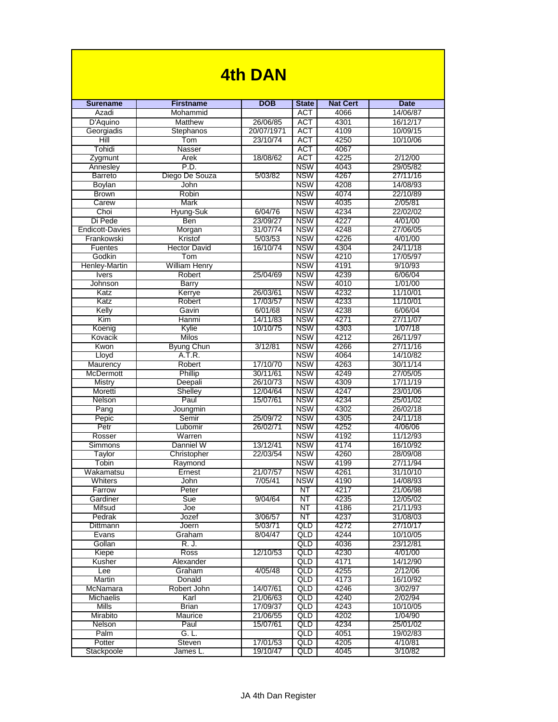| 4th DAN                 |                             |                      |                          |                 |                      |  |  |
|-------------------------|-----------------------------|----------------------|--------------------------|-----------------|----------------------|--|--|
|                         |                             |                      |                          |                 |                      |  |  |
| <b>Surename</b>         | <b>Firstname</b>            | <b>DOB</b>           | <b>State</b>             | <b>Nat Cert</b> | <b>Date</b>          |  |  |
| Azadi                   | Mohammid                    |                      | <b>ACT</b>               | 4066            | 14/06/87             |  |  |
| D'Aquino                | Matthew                     | 26/06/85             | <b>ACT</b>               | 4301            | 16/12/17             |  |  |
| Georgiadis              | Stephanos                   | 20/07/1971           | <b>ACT</b>               | 4109            | 10/09/15             |  |  |
| Hill                    | Tom                         | 23/10/74             | <b>ACT</b>               | 4250            | 10/10/06             |  |  |
| Tohidi                  | Nasser                      |                      | <b>ACT</b><br><b>ACT</b> | 4067            |                      |  |  |
| Zygmunt<br>Annesley     | Arek<br>P.D.                | 18/08/62             | <b>NSW</b>               | 4225<br>4043    | 2/12/00<br>29/05/82  |  |  |
| <b>Barreto</b>          | Diego De Souza              | 5/03/82              | <b>NSW</b>               | 4267            | 27/11/16             |  |  |
| <b>Boylan</b>           | John                        |                      | <b>NSW</b>               | 4208            | 14/08/93             |  |  |
| <b>Brown</b>            | Robin                       |                      | <b>NSW</b>               | 4074            | 22/10/89             |  |  |
| Carew                   | <b>Mark</b>                 |                      | <b>NSW</b>               | 4035            | 2/05/81              |  |  |
| Choi                    | Hyung-Suk                   | 6/04/76              | <b>NSW</b>               | 4234            | 22/02/02             |  |  |
| Di Pede                 | Ben                         | 23/09/27             | <b>NSW</b>               | 4227            | 4/01/00              |  |  |
| <b>Endicott-Davies</b>  | Morgan                      | 31/07/74             | <b>NSW</b>               | 4248            | 27/06/05             |  |  |
| Frankowski              | Kristof                     | 5/03/53              | <b>NSW</b>               | 4226            | 4/01/00              |  |  |
| Fuentes                 | <b>Hector David</b>         | 16/10/74             | <b>NSW</b>               | 4304            | 24/11/18<br>17/05/97 |  |  |
| Godkin<br>Henley-Martin | Tom<br><b>William Henry</b> |                      | <b>NSW</b><br><b>NSW</b> | 4210<br>4191    | 9/10/93              |  |  |
| <b>Ivers</b>            | Robert                      | 25/04/69             | <b>NSW</b>               | 4239            | 6/06/04              |  |  |
| Johnson                 | <b>Barry</b>                |                      | <b>NSW</b>               | 4010            | 1/01/00              |  |  |
| Katz                    | Kerrye                      | 26/03/61             | <b>NSW</b>               | 4232            | 11/10/01             |  |  |
| Katz                    | Robert                      | 17/03/57             | <b>NSW</b>               | 4233            | 11/10/01             |  |  |
| Kelly                   | Gavin                       | 6/01/68              | <b>NSW</b>               | 4238            | 6/06/04              |  |  |
| Kim                     | Hanmi                       | 14/11/83             | <b>NSW</b>               | 4271            | 27/11/07             |  |  |
| Koenig                  | Kylie                       | 10/10/75             | <b>NSW</b>               | 4303            | 1/07/18              |  |  |
| Kovacik                 | Milos                       |                      | <b>NSW</b>               | 4212            | 26/11/97             |  |  |
| Kwon                    | <b>Byung Chun</b>           | 3/12/81              | <b>NSW</b>               | 4266            | 27/11/16             |  |  |
| Lloyd                   | A.T.R.                      |                      | <b>NSW</b>               | 4064            | 14/10/82             |  |  |
| Maurency                | Robert                      | 17/10/70             | <b>NSW</b><br><b>NSW</b> | 4263<br>4249    | 30/11/14<br>27/05/05 |  |  |
| McDermott<br>Mistry     | Phillip<br>Deepali          | 30/11/61<br>26/10/73 | <b>NSW</b>               | 4309            | 17/11/19             |  |  |
| Moretti                 | <b>Shelley</b>              | 12/04/64             | <b>NSW</b>               | 4247            | 23/01/06             |  |  |
| Nelson                  | Paul                        | 15/07/61             | <b>NSW</b>               | 4234            | 25/01/02             |  |  |
| Pang                    | Joungmin                    |                      | <b>NSW</b>               | 4302            | 26/02/18             |  |  |
| Pepic                   | Semir                       | 25/09/72             | <b>NSW</b>               | 4305            | 24/11/18             |  |  |
| Petr                    | Lubomir                     | 26/02/71             | <b>NSW</b>               | 4252            | 4/06/06              |  |  |
| Rosser                  | Warren                      |                      | <b>NSW</b>               | 4192            | 11/12/93             |  |  |
| Simmons                 | Danniel W                   | 13/12/41             | <b>NSW</b>               | 4174            | 16/10/92             |  |  |
| Taylor                  | Christopher                 | 22/03/54             | <b>NSW</b>               | 4260            | 28/09/08             |  |  |
| <b>LODIN</b>            | Raymona                     |                      | <b>NSW</b><br><b>NSW</b> | 4199            | 27/11/94             |  |  |
| Wakamatsu<br>Whiters    | Ernest<br><b>John</b>       | 21/07/57<br>7/05/41  | <b>NSW</b>               | 4261<br>4190    | 31/10/10<br>14/08/93 |  |  |
| Farrow                  | Peter                       |                      | NT                       | 4217            | 21/06/98             |  |  |
| Gardiner                | Sue                         | 9/04/64              | NT                       | 4235            | 12/05/02             |  |  |
| Mifsud                  | Joe                         |                      | NT                       | 4186            | 21/11/93             |  |  |
| Pedrak                  | Jozef                       | 3/06/57              | $N$ T                    | 4237            | 31/08/03             |  |  |
| Dittmann                | Joern                       | 5/03/71              | QLD                      | 4272            | 27/10/17             |  |  |
| Evans                   | Graham                      | 8/04/47              | QLD                      | 4244            | 10/10/05             |  |  |
| Gollan                  | R. J.                       |                      | QLD                      | 4036            | 23/12/81             |  |  |
| Kiepe                   | <b>Ross</b>                 | 12/10/53             | QLD                      | 4230            | 4/01/00              |  |  |
| Kusher                  | Alexander                   |                      | QLD                      | 4171            | 14/12/90             |  |  |
| Lee<br>Martin           | Graham<br>Donald            | 4/05/48              | QLD<br>QLD               | 4255<br>4173    | 2/12/06<br>16/10/92  |  |  |
| McNamara                | Robert John                 | 14/07/61             | QLD                      | 4246            | 3/02/97              |  |  |
| <b>Michaelis</b>        | Karl                        | 21/06/63             | QLD                      | 4240            | 2/02/94              |  |  |
| Mills                   | <b>Brian</b>                | 17/09/37             | QLD                      | 4243            | 10/10/05             |  |  |
| Mirabito                | Maurice                     | 21/06/55             | QLD                      | 4202            | 1/04/90              |  |  |
| Nelson                  | Paul                        | 15/07/61             | QLD                      | 4234            | 25/01/02             |  |  |
| Palm                    | G. L.                       |                      | <b>QLD</b>               | 4051            | 19/02/83             |  |  |
| Potter                  | Steven                      | 17/01/53             | QLD                      | 4205            | 4/10/81              |  |  |
| Stackpoole              | James L.                    | 19/10/47             | <b>QLD</b>               | 4045            | 3/10/82              |  |  |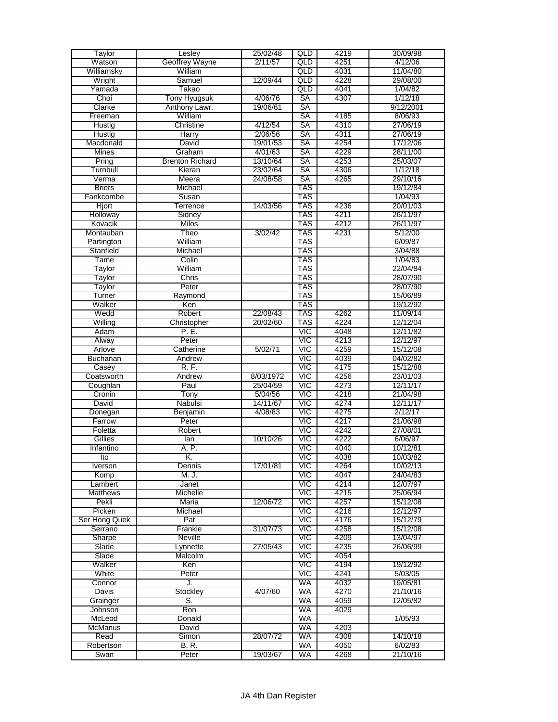| Taylor          | Lesley                 | 25/02/48  | QLD        | 4219 | 30/09/98  |
|-----------------|------------------------|-----------|------------|------|-----------|
| Watson          | Geoffrey Wayne         | 2/11/57   | QLD        | 4251 | 4/12/06   |
| Williamsky      | William                |           | QLD        | 4031 | 11/04/80  |
| Wright          | Samuel                 | 12/09/44  | QLD        | 4228 | 29/08/00  |
| Yamada          | Takao                  |           | QLD        | 4041 | 1/04/82   |
|                 |                        |           |            |      |           |
| Choi            | <b>Tony Hyugsuk</b>    | 4/06/76   | <b>SA</b>  | 4307 | 1/12/18   |
| Clarke          | Anthony Lawr.          | 19/06/61  | SA         |      | 9/12/2001 |
| Freeman         | William                |           | <b>SA</b>  | 4185 | 8/06/93   |
| Hustig          | Christine              | 4/12/54   | SA         | 4310 | 27/06/19  |
| Hustig          | Harry                  | 2/06/56   | SA         | 4311 | 27/06/19  |
| Macdonald       | David                  | 19/01/53  | SA         | 4254 | 17/12/06  |
| <b>Mines</b>    | Graham                 | 4/01/63   | SA         | 4229 | 28/11/00  |
| Pring           | <b>Brenton Richard</b> | 13/10/64  | SA         | 4253 | 25/03/07  |
| Turnbull        | Kieran                 | 23/02/64  | SA         | 4306 | 1/12/18   |
| Verma           | Meera                  | 24/08/58  | SA         | 4265 | 29/10/16  |
|                 |                        |           | TAS        |      |           |
| <b>Briers</b>   | Michael                |           |            |      | 19/12/84  |
| Fankcombe       | Susan                  |           | <b>TAS</b> |      | 1/04/93   |
| <b>Hjort</b>    | Terrence               | 14/03/56  | <b>TAS</b> | 4236 | 20/01/03  |
| Holloway        | Sidney                 |           | <b>TAS</b> | 4211 | 26/11/97  |
| Kovacik         | Milos                  |           | TAS        | 4212 | 26/11/97  |
| Montauban       | Theo                   | 3/02/42   | TAS        | 4231 | 5/12/00   |
| Partington      | William                |           | TAS        |      | 6/09/87   |
| Stanfield       | Michael                |           | TAS        |      | 3/04/88   |
| Tame            | Colin                  |           | TAS        |      | 1/04/83   |
|                 | William                |           | TAS        |      | 22/04/84  |
| Taylor          |                        |           |            |      |           |
| Taylor          | <b>Chris</b>           |           | TAS        |      | 28/07/90  |
| Taylor          | Peter                  |           | TAS        |      | 28/07/90  |
| Turner          | Raymond                |           | TAS        |      | 15/06/89  |
| Walker          | Ken                    |           | TAS        |      | 19/12/92  |
| Wedd            | Robert                 | 22/08/43  | TAS        | 4262 | 11/09/14  |
| Willing         | Christopher            | 20/02/60  | TAS        | 4224 | 12/12/04  |
| Adam            | P. E.                  |           | VIC        | 4048 | 12/11/82  |
| Alway           | Peter                  |           | <b>VIC</b> | 4213 | 12/12/97  |
| Arlove          | Catherine              | 5/02/71   | VIC        | 4259 | 15/12/08  |
| Buchanan        |                        |           | <b>VIC</b> |      | 04/02/82  |
|                 | Andrew                 |           |            | 4039 |           |
| Casey           | R. F.                  |           | <b>VIC</b> | 4175 | 15/12/88  |
| Coatsworth      | Andrew                 | 8/03/1972 | VIC        | 4256 | 23/01/03  |
| Coughlan        | Paul                   | 25/04/59  | VIC        | 4273 | 12/11/17  |
| Cronin          | Tony                   | 5/04/56   | VIC        | 4218 | 21/04/98  |
| David           | Nabulsi                | 14/11/67  | <b>VIC</b> | 4274 | 12/11/17  |
| Donegan         | Benjamin               | 4/08/83   | VIC        | 4275 | 2/12/17   |
| Farrow          | Peter                  |           | VIC        | 4217 | 21/06/98  |
| Foletta         | Robert                 |           | <b>VIC</b> | 4242 | 27/08/01  |
| Gillies         | lan                    | 10/10/26  | VIC        | 4222 | 6/06/97   |
|                 |                        |           |            |      |           |
| Infantino       | A. P.                  |           | VIC        | 4040 | 10/12/81  |
| Ito             | Κ.                     |           | <b>VIC</b> | 4038 | 10/03/82  |
| Iverson         | Dennis                 | 17/01/81  | VIC        | 4264 | 10/02/13  |
| Komp            | M. J.                  |           | VIC        | 4047 | 24/04/83  |
| Lambert         | Janet                  |           | <b>VIC</b> | 4214 | 12/07/97  |
| <b>Matthews</b> | Michelle               |           | <b>VIC</b> | 4215 | 25/06/94  |
| Pekli           | <b>Maria</b>           | 12/06/72  | VIC        | 4257 | 15/12/08  |
| Picken          | Michael                |           | VIC        | 4216 | 12/12/97  |
| Ser Hong Quek   | Pat                    |           | <b>VIC</b> | 4176 | 15/12/79  |
| Serrano         | Frankie                | 31/07/73  | <b>VIC</b> | 4258 | 15/12/08  |
| Sharpe          | <b>Neville</b>         |           | VIC        | 4209 | 13/04/97  |
| Slade           | Lynnette               | 27/05/43  | VIC        | 4235 | 26/06/99  |
|                 |                        |           |            |      |           |
| Slade           | Malcolm                |           | VIC        | 4054 |           |
| Walker          | Ken                    |           | VIC        | 4194 | 19/12/92  |
| White           | Peter                  |           | VIC        | 4241 | 5/03/05   |
| Connor          | J.                     |           | WA         | 4032 | 19/05/81  |
| Davis           | Stockley               | 4/07/60   | WA         | 4270 | 21/10/16  |
| Grainger        | S.                     |           | WA         | 4059 | 12/05/82  |
| Johnson         | Ron                    |           | <b>WA</b>  | 4029 |           |
| McLeod          | Donald                 |           | WA         |      | 1/05/93   |
| <b>McManus</b>  | David                  |           | WA         | 4203 |           |
| Read            | Simon                  | 28/07/72  | WA         | 4308 | 14/10/18  |
|                 |                        |           | WA         | 4050 |           |
| Robertson       | B. R.                  |           |            |      | 6/02/83   |
| Swan            | Peter                  | 19/03/67  | WA         | 4268 | 21/10/16  |